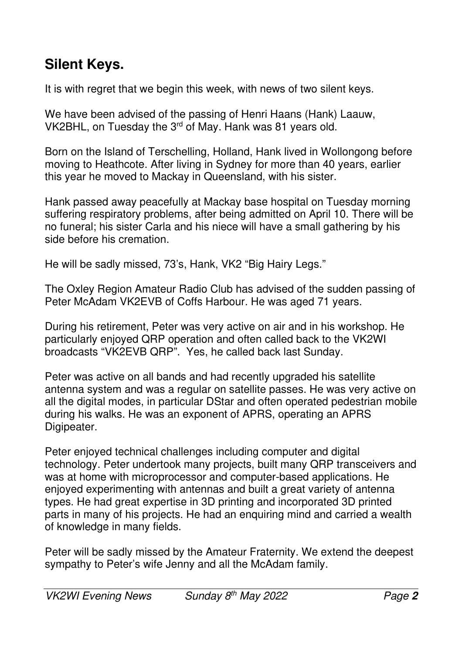## **Silent Keys.**

It is with regret that we begin this week, with news of two silent keys.

We have been advised of the passing of Henri Haans (Hank) Laauw, VK2BHL, on Tuesday the 3<sup>rd</sup> of May. Hank was 81 years old.

Born on the Island of Terschelling, Holland, Hank lived in Wollongong before moving to Heathcote. After living in Sydney for more than 40 years, earlier this year he moved to Mackay in Queensland, with his sister.

Hank passed away peacefully at Mackay base hospital on Tuesday morning suffering respiratory problems, after being admitted on April 10. There will be no funeral; his sister Carla and his niece will have a small gathering by his side before his cremation.

He will be sadly missed, 73's, Hank, VK2 "Big Hairy Legs."

The Oxley Region Amateur Radio Club has advised of the sudden passing of Peter McAdam VK2EVB of Coffs Harbour. He was aged 71 years.

During his retirement, Peter was very active on air and in his workshop. He particularly enjoyed QRP operation and often called back to the VK2WI broadcasts "VK2EVB QRP". Yes, he called back last Sunday.

Peter was active on all bands and had recently upgraded his satellite antenna system and was a regular on satellite passes. He was very active on all the digital modes, in particular DStar and often operated pedestrian mobile during his walks. He was an exponent of APRS, operating an APRS Digipeater.

Peter enjoyed technical challenges including computer and digital technology. Peter undertook many projects, built many QRP transceivers and was at home with microprocessor and computer-based applications. He enjoyed experimenting with antennas and built a great variety of antenna types. He had great expertise in 3D printing and incorporated 3D printed parts in many of his projects. He had an enquiring mind and carried a wealth of knowledge in many fields.

Peter will be sadly missed by the Amateur Fraternity. We extend the deepest sympathy to Peter's wife Jenny and all the McAdam family.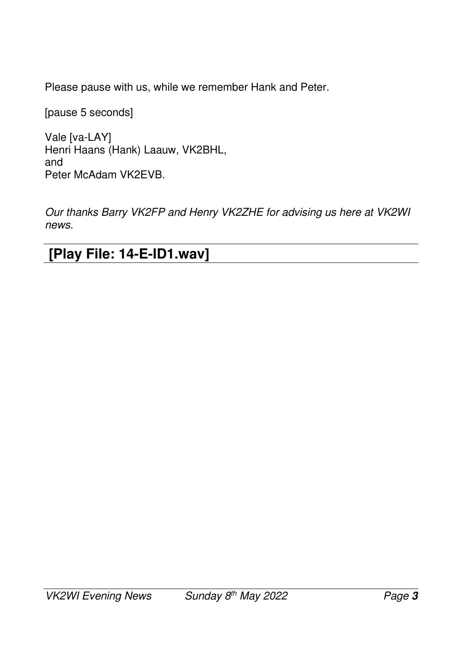Please pause with us, while we remember Hank and Peter.

[pause 5 seconds]

Vale [va-LAY] Henri Haans (Hank) Laauw, VK2BHL, and Peter McAdam VK2EVB.

*Our thanks Barry VK2FP and Henry VK2ZHE for advising us here at VK2WI news.* 

 **[Play File: 14-E-ID1.wav]**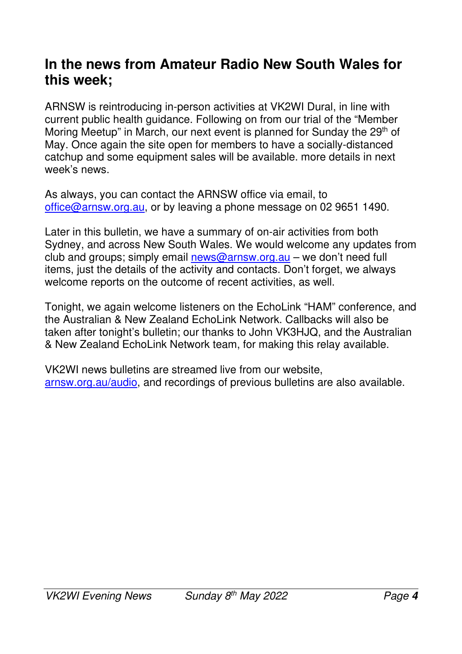#### **In the news from Amateur Radio New South Wales for this week;**

ARNSW is reintroducing in-person activities at VK2WI Dural, in line with current public health guidance. Following on from our trial of the "Member Moring Meetup" in March, our next event is planned for Sunday the 29<sup>th</sup> of May. Once again the site open for members to have a socially-distanced catchup and some equipment sales will be available. more details in next week's news.

As always, you can contact the ARNSW office via email, to office@arnsw.org.au, or by leaving a phone message on 02 9651 1490.

Later in this bulletin, we have a summary of on-air activities from both Sydney, and across New South Wales. We would welcome any updates from club and groups; simply email news@arnsw.org.au – we don't need full items, just the details of the activity and contacts. Don't forget, we always welcome reports on the outcome of recent activities, as well.

Tonight, we again welcome listeners on the EchoLink "HAM" conference, and the Australian & New Zealand EchoLink Network. Callbacks will also be taken after tonight's bulletin; our thanks to John VK3HJQ, and the Australian & New Zealand EchoLink Network team, for making this relay available.

VK2WI news bulletins are streamed live from our website, arnsw.org.au/audio, and recordings of previous bulletins are also available.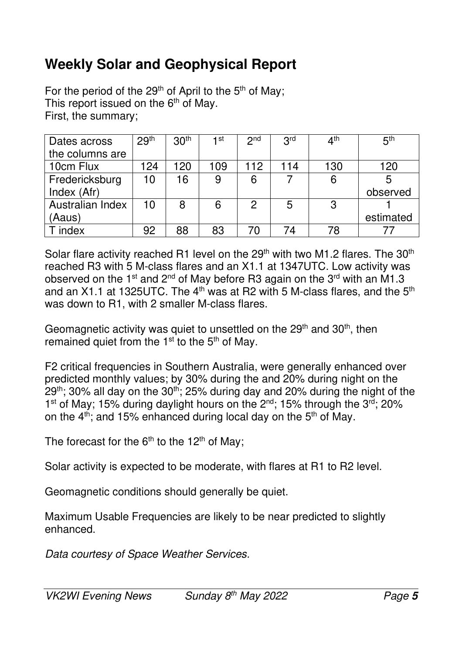## **Weekly Solar and Geophysical Report**

For the period of the  $29<sup>th</sup>$  of April to the  $5<sup>th</sup>$  of May; This report issued on the  $6<sup>th</sup>$  of May. First, the summary;

| Dates across     | 29 <sup>th</sup> | 30 <sup>th</sup> | 1st | 2 <sup>nd</sup> | 3 <sup>rd</sup> | $4^{\text{th}}$ | 5 <sup>th</sup> |
|------------------|------------------|------------------|-----|-----------------|-----------------|-----------------|-----------------|
| the columns are  |                  |                  |     |                 |                 |                 |                 |
| 10cm Flux        | 124              | 120              | 109 | 112             | 114             | 130             | 120             |
| Fredericksburg   | 10               | 16               | 9   | 6               |                 | 6               |                 |
| Index (Afr)      |                  |                  |     |                 |                 |                 | observed        |
| Australian Index | 10               | 8                | 6   | 2               | 5               | 3               |                 |
| (Aaus)           |                  |                  |     |                 |                 |                 | estimated       |
| index            | 92               | 88               | 83  | 70              |                 | 78              |                 |

Solar flare activity reached R1 level on the  $29<sup>th</sup>$  with two M1.2 flares. The  $30<sup>th</sup>$ reached R3 with 5 M-class flares and an X1.1 at 1347UTC. Low activity was observed on the 1<sup>st</sup> and 2<sup>nd</sup> of May before R3 again on the 3<sup>rd</sup> with an M1.3 and an X1.1 at 1325UTC. The  $4<sup>th</sup>$  was at R2 with 5 M-class flares, and the  $5<sup>th</sup>$ was down to R1, with 2 smaller M-class flares.

Geomagnetic activity was quiet to unsettled on the 29<sup>th</sup> and 30<sup>th</sup>, then remained quiet from the  $1<sup>st</sup>$  to the  $5<sup>th</sup>$  of May.

F2 critical frequencies in Southern Australia, were generally enhanced over predicted monthly values; by 30% during the and 20% during night on the  $29<sup>th</sup>$ ; 30% all day on the 30<sup>th</sup>; 25% during day and 20% during the night of the 1<sup>st</sup> of May; 15% during daylight hours on the 2<sup>nd</sup>; 15% through the 3<sup>rd</sup>; 20% on the  $4<sup>th</sup>$ ; and 15% enhanced during local day on the  $5<sup>th</sup>$  of May.

The forecast for the  $6<sup>th</sup>$  to the 12<sup>th</sup> of May;

Solar activity is expected to be moderate, with flares at R1 to R2 level.

Geomagnetic conditions should generally be quiet.

Maximum Usable Frequencies are likely to be near predicted to slightly enhanced.

*Data courtesy of Space Weather Services.*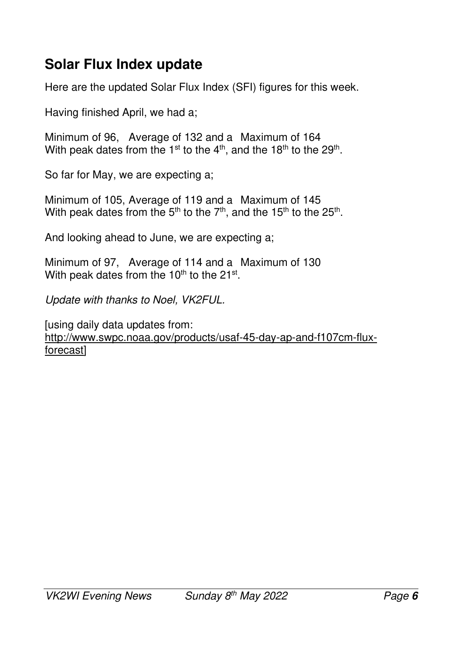## **Solar Flux Index update**

Here are the updated Solar Flux Index (SFI) figures for this week.

Having finished April, we had a;

Minimum of 96, Average of 132 and a Maximum of 164 With peak dates from the 1<sup>st</sup> to the 4<sup>th</sup>, and the 18<sup>th</sup> to the 29<sup>th</sup>.

So far for May, we are expecting a;

Minimum of 105, Average of 119 and a Maximum of 145 With peak dates from the 5<sup>th</sup> to the 7<sup>th</sup>, and the 15<sup>th</sup> to the 25<sup>th</sup>.

And looking ahead to June, we are expecting a;

Minimum of 97, Average of 114 and a Maximum of 130 With peak dates from the 10<sup>th</sup> to the 21<sup>st</sup>.

*Update with thanks to Noel, VK2FUL.* 

[using daily data updates from: http://www.swpc.noaa.gov/products/usaf-45-day-ap-and-f107cm-fluxforecast]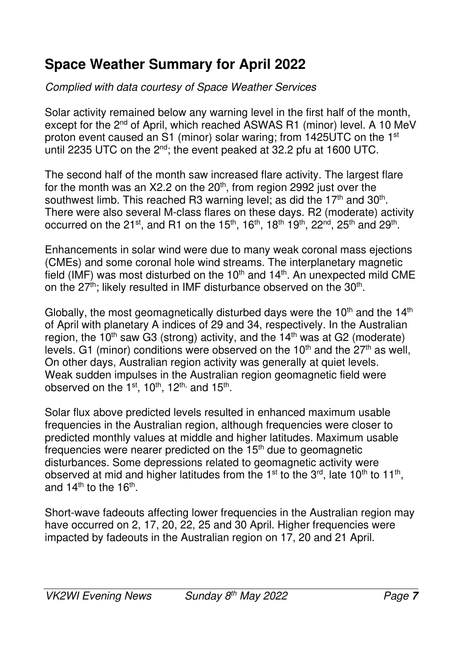# **Space Weather Summary for April 2022**

#### *Complied with data courtesy of Space Weather Services*

Solar activity remained below any warning level in the first half of the month, except for the 2<sup>nd</sup> of April, which reached ASWAS R1 (minor) level. A 10 MeV proton event caused an S1 (minor) solar waring; from 1425UTC on the 1<sup>st</sup> until 2235 UTC on the 2<sup>nd</sup>; the event peaked at 32.2 pfu at 1600 UTC.

The second half of the month saw increased flare activity. The largest flare for the month was an  $X2.2$  on the  $20<sup>th</sup>$ , from region 2992 just over the southwest limb. This reached R3 warning level; as did the 17<sup>th</sup> and 30<sup>th</sup>. There were also several M-class flares on these days. R2 (moderate) activity occurred on the 21<sup>st</sup>, and R1 on the 15<sup>th</sup>, 16<sup>th</sup>, 18<sup>th</sup> 19<sup>th</sup>, 22<sup>nd</sup>, 25<sup>th</sup> and 29<sup>th</sup>.

Enhancements in solar wind were due to many weak coronal mass ejections (CMEs) and some coronal hole wind streams. The interplanetary magnetic field (IMF) was most disturbed on the  $10<sup>th</sup>$  and  $14<sup>th</sup>$ . An unexpected mild CME on the  $27<sup>th</sup>$ ; likely resulted in IMF disturbance observed on the  $30<sup>th</sup>$ .

Globally, the most geomagnetically disturbed days were the  $10<sup>th</sup>$  and the  $14<sup>th</sup>$ of April with planetary A indices of 29 and 34, respectively. In the Australian region, the  $10^{th}$  saw G3 (strong) activity, and the  $14^{th}$  was at G2 (moderate) levels. G1 (minor) conditions were observed on the  $10<sup>th</sup>$  and the  $27<sup>th</sup>$  as well, On other days, Australian region activity was generally at quiet levels. Weak sudden impulses in the Australian region geomagnetic field were observed on the 1<sup>st</sup>, 10<sup>th</sup>, 12<sup>th,</sup> and 15<sup>th</sup>.

Solar flux above predicted levels resulted in enhanced maximum usable frequencies in the Australian region, although frequencies were closer to predicted monthly values at middle and higher latitudes. Maximum usable frequencies were nearer predicted on the  $15<sup>th</sup>$  due to geomagnetic disturbances. Some depressions related to geomagnetic activity were observed at mid and higher latitudes from the 1<sup>st</sup> to the 3<sup>rd</sup>, late 10<sup>th</sup> to 11<sup>th</sup>, and 14<sup>th</sup> to the 16<sup>th</sup>.

Short-wave fadeouts affecting lower frequencies in the Australian region may have occurred on 2, 17, 20, 22, 25 and 30 April. Higher frequencies were impacted by fadeouts in the Australian region on 17, 20 and 21 April.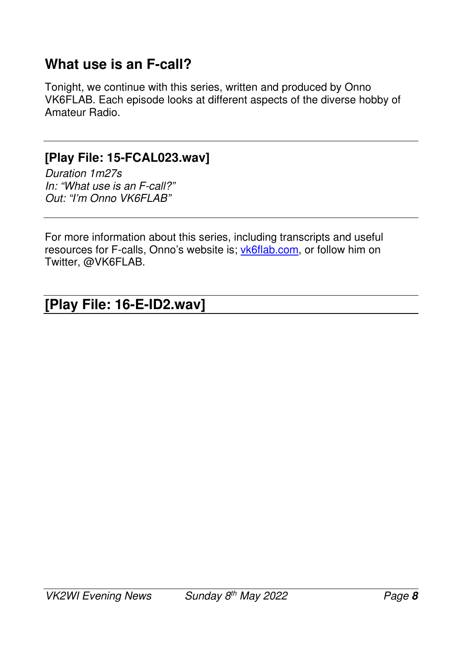#### **What use is an F-call?**

Tonight, we continue with this series, written and produced by Onno VK6FLAB. Each episode looks at different aspects of the diverse hobby of Amateur Radio.

#### **[Play File: 15-FCAL023.wav]**

*Duration 1m27s In: "What use is an F-call?" Out: "I'm Onno VK6FLAB"* 

For more information about this series, including transcripts and useful resources for F-calls, Onno's website is; vk6flab.com, or follow him on Twitter, @VK6FLAB.

#### **[Play File: 16-E-ID2.wav]**   $\overline{\phantom{a}}$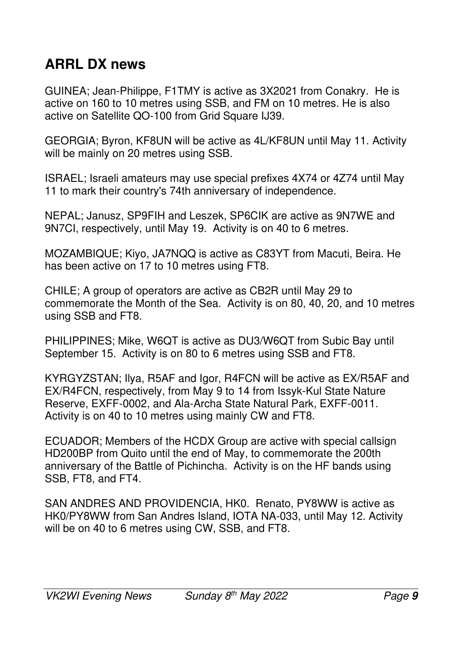# **ARRL DX news**

GUINEA; Jean-Philippe, F1TMY is active as 3X2021 from Conakry. He is active on 160 to 10 metres using SSB, and FM on 10 metres. He is also active on Satellite QO-100 from Grid Square IJ39.

GEORGIA; Byron, KF8UN will be active as 4L/KF8UN until May 11. Activity will be mainly on 20 metres using SSB.

ISRAEL; Israeli amateurs may use special prefixes 4X74 or 4Z74 until May 11 to mark their country's 74th anniversary of independence.

NEPAL; Janusz, SP9FIH and Leszek, SP6CIK are active as 9N7WE and 9N7CI, respectively, until May 19. Activity is on 40 to 6 metres.

MOZAMBIQUE; Kiyo, JA7NQQ is active as C83YT from Macuti, Beira. He has been active on 17 to 10 metres using FT8.

CHILE; A group of operators are active as CB2R until May 29 to commemorate the Month of the Sea. Activity is on 80, 40, 20, and 10 metres using SSB and FT8.

PHILIPPINES; Mike, W6QT is active as DU3/W6QT from Subic Bay until September 15. Activity is on 80 to 6 metres using SSB and FT8.

KYRGYZSTAN; Ilya, R5AF and Igor, R4FCN will be active as EX/R5AF and EX/R4FCN, respectively, from May 9 to 14 from Issyk-Kul State Nature Reserve, EXFF-0002, and Ala-Archa State Natural Park, EXFF-0011. Activity is on 40 to 10 metres using mainly CW and FT8.

ECUADOR; Members of the HCDX Group are active with special callsign HD200BP from Quito until the end of May, to commemorate the 200th anniversary of the Battle of Pichincha. Activity is on the HF bands using SSB, FT8, and FT4.

SAN ANDRES AND PROVIDENCIA, HK0. Renato, PY8WW is active as HK0/PY8WW from San Andres Island, IOTA NA-033, until May 12. Activity will be on 40 to 6 metres using CW, SSB, and FT8.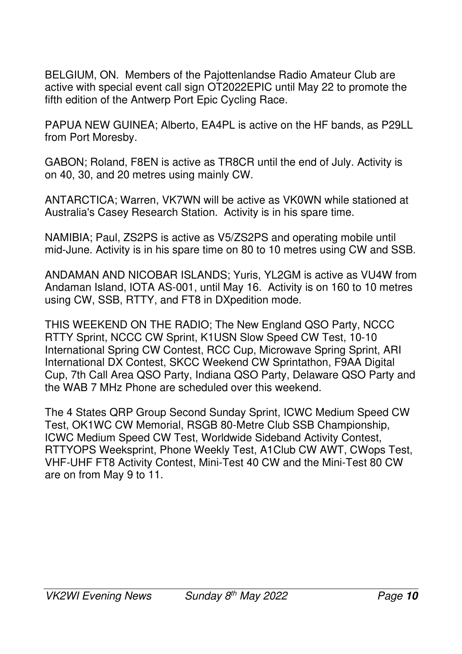BELGIUM, ON. Members of the Pajottenlandse Radio Amateur Club are active with special event call sign OT2022EPIC until May 22 to promote the fifth edition of the Antwerp Port Epic Cycling Race.

PAPUA NEW GUINEA; Alberto, EA4PL is active on the HF bands, as P29LL from Port Moresby.

GABON; Roland, F8EN is active as TR8CR until the end of July. Activity is on 40, 30, and 20 metres using mainly CW.

ANTARCTICA; Warren, VK7WN will be active as VK0WN while stationed at Australia's Casey Research Station. Activity is in his spare time.

NAMIBIA; Paul, ZS2PS is active as V5/ZS2PS and operating mobile until mid-June. Activity is in his spare time on 80 to 10 metres using CW and SSB.

ANDAMAN AND NICOBAR ISLANDS; Yuris, YL2GM is active as VU4W from Andaman Island, IOTA AS-001, until May 16. Activity is on 160 to 10 metres using CW, SSB, RTTY, and FT8 in DXpedition mode.

THIS WEEKEND ON THE RADIO; The New England QSO Party, NCCC RTTY Sprint, NCCC CW Sprint, K1USN Slow Speed CW Test, 10-10 International Spring CW Contest, RCC Cup, Microwave Spring Sprint, ARI International DX Contest, SKCC Weekend CW Sprintathon, F9AA Digital Cup, 7th Call Area QSO Party, Indiana QSO Party, Delaware QSO Party and the WAB 7 MHz Phone are scheduled over this weekend.

The 4 States QRP Group Second Sunday Sprint, ICWC Medium Speed CW Test, OK1WC CW Memorial, RSGB 80-Metre Club SSB Championship, ICWC Medium Speed CW Test, Worldwide Sideband Activity Contest, RTTYOPS Weeksprint, Phone Weekly Test, A1Club CW AWT, CWops Test, VHF-UHF FT8 Activity Contest, Mini-Test 40 CW and the Mini-Test 80 CW are on from May 9 to 11.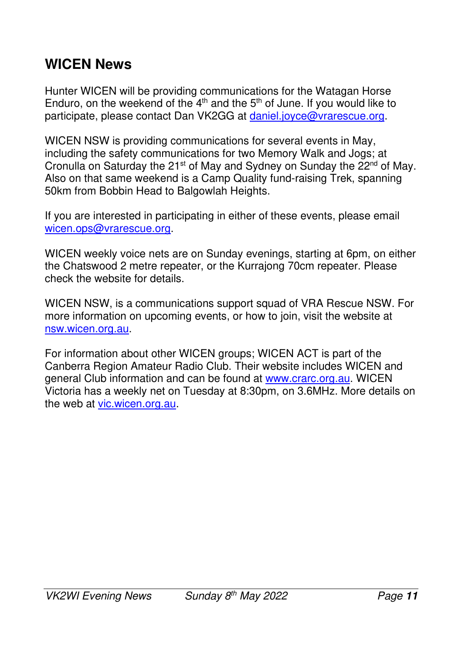## **WICEN News**

Hunter WICEN will be providing communications for the Watagan Horse Enduro, on the weekend of the  $4<sup>th</sup>$  and the  $5<sup>th</sup>$  of June. If you would like to participate, please contact Dan VK2GG at daniel.joyce@vrarescue.org.

WICEN NSW is providing communications for several events in May, including the safety communications for two Memory Walk and Jogs; at Cronulla on Saturday the 21<sup>st</sup> of May and Sydney on Sunday the 22<sup>nd</sup> of May. Also on that same weekend is a Camp Quality fund-raising Trek, spanning 50km from Bobbin Head to Balgowlah Heights.

If you are interested in participating in either of these events, please email wicen.ops@vrarescue.org.

WICEN weekly voice nets are on Sunday evenings, starting at 6pm, on either the Chatswood 2 metre repeater, or the Kurrajong 70cm repeater. Please check the website for details.

WICEN NSW, is a communications support squad of VRA Rescue NSW. For more information on upcoming events, or how to join, visit the website at nsw.wicen.org.au.

For information about other WICEN groups; WICEN ACT is part of the Canberra Region Amateur Radio Club. Their website includes WICEN and general Club information and can be found at www.crarc.org.au. WICEN Victoria has a weekly net on Tuesday at 8:30pm, on 3.6MHz. More details on the web at vic.wicen.org.au.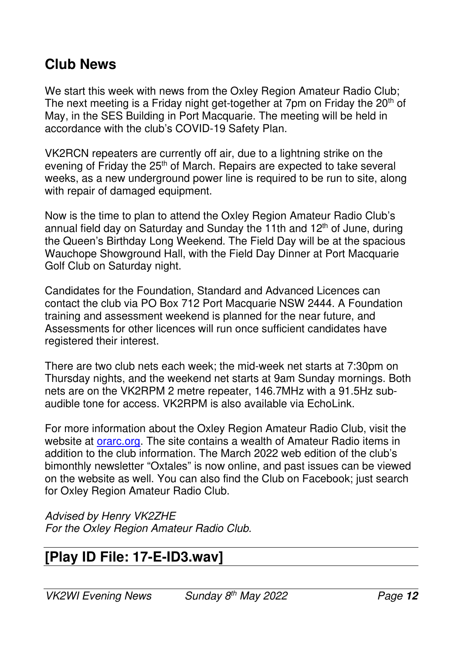#### **Club News**

We start this week with news from the Oxley Region Amateur Radio Club; The next meeting is a Friday night get-together at 7pm on Friday the 20<sup>th</sup> of May, in the SES Building in Port Macquarie. The meeting will be held in accordance with the club's COVID-19 Safety Plan.

VK2RCN repeaters are currently off air, due to a lightning strike on the evening of Friday the 25<sup>th</sup> of March. Repairs are expected to take several weeks, as a new underground power line is required to be run to site, along with repair of damaged equipment.

Now is the time to plan to attend the Oxley Region Amateur Radio Club's annual field day on Saturday and Sunday the 11th and  $12<sup>th</sup>$  of June, during the Queen's Birthday Long Weekend. The Field Day will be at the spacious Wauchope Showground Hall, with the Field Day Dinner at Port Macquarie Golf Club on Saturday night.

Candidates for the Foundation, Standard and Advanced Licences can contact the club via PO Box 712 Port Macquarie NSW 2444. A Foundation training and assessment weekend is planned for the near future, and Assessments for other licences will run once sufficient candidates have registered their interest.

There are two club nets each week; the mid-week net starts at 7:30pm on Thursday nights, and the weekend net starts at 9am Sunday mornings. Both nets are on the VK2RPM 2 metre repeater, 146.7MHz with a 91.5Hz subaudible tone for access. VK2RPM is also available via EchoLink.

For more information about the Oxley Region Amateur Radio Club, visit the website at **orarc.org.** The site contains a wealth of Amateur Radio items in addition to the club information. The March 2022 web edition of the club's bimonthly newsletter "Oxtales" is now online, and past issues can be viewed on the website as well. You can also find the Club on Facebook; just search for Oxley Region Amateur Radio Club.

*Advised by Henry VK2ZHE For the Oxley Region Amateur Radio Club.* 

#### **[Play ID File: 17-E-ID3.wav]**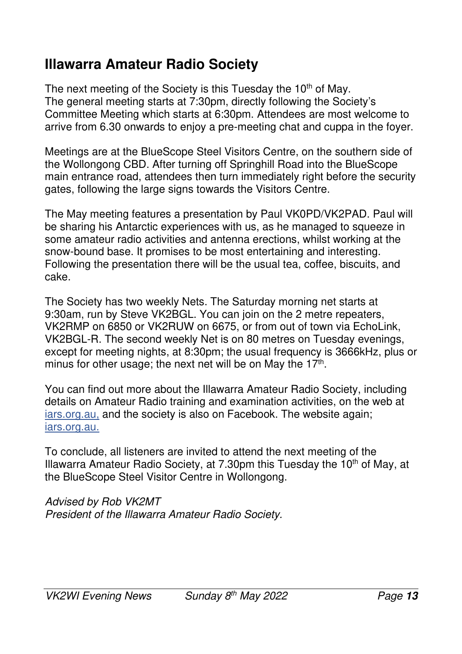## **Illawarra Amateur Radio Society**

The next meeting of the Society is this Tuesday the 10<sup>th</sup> of May. The general meeting starts at 7:30pm, directly following the Society's Committee Meeting which starts at 6:30pm. Attendees are most welcome to arrive from 6.30 onwards to enjoy a pre-meeting chat and cuppa in the foyer.

Meetings are at the BlueScope Steel Visitors Centre, on the southern side of the Wollongong CBD. After turning off Springhill Road into the BlueScope main entrance road, attendees then turn immediately right before the security gates, following the large signs towards the Visitors Centre.

The May meeting features a presentation by Paul VK0PD/VK2PAD. Paul will be sharing his Antarctic experiences with us, as he managed to squeeze in some amateur radio activities and antenna erections, whilst working at the snow-bound base. It promises to be most entertaining and interesting. Following the presentation there will be the usual tea, coffee, biscuits, and cake.

The Society has two weekly Nets. The Saturday morning net starts at 9:30am, run by Steve VK2BGL. You can join on the 2 metre repeaters, VK2RMP on 6850 or VK2RUW on 6675, or from out of town via EchoLink, VK2BGL-R. The second weekly Net is on 80 metres on Tuesday evenings, except for meeting nights, at 8:30pm; the usual frequency is 3666kHz, plus or minus for other usage; the next net will be on May the  $17<sup>th</sup>$ .

You can find out more about the Illawarra Amateur Radio Society, including details on Amateur Radio training and examination activities, on the web at iars.org.au, and the society is also on Facebook. The website again; iars.org.au.

To conclude, all listeners are invited to attend the next meeting of the Illawarra Amateur Radio Society, at 7.30pm this Tuesday the  $10<sup>th</sup>$  of May, at the BlueScope Steel Visitor Centre in Wollongong.

*Advised by Rob VK2MT President of the Illawarra Amateur Radio Society.*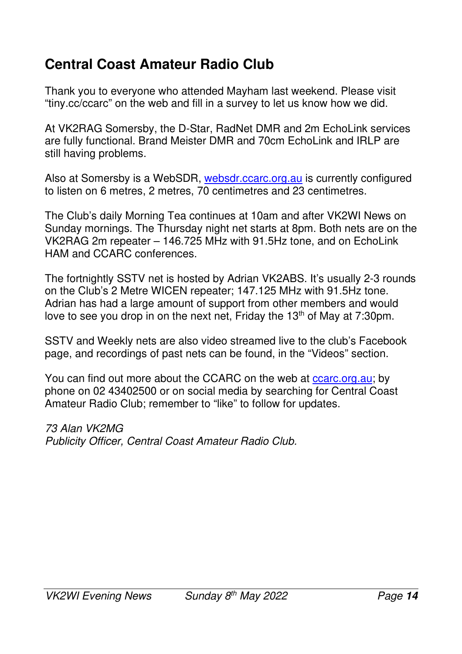## **Central Coast Amateur Radio Club**

Thank you to everyone who attended Mayham last weekend. Please visit "tiny.cc/ccarc" on the web and fill in a survey to let us know how we did.

At VK2RAG Somersby, the D-Star, RadNet DMR and 2m EchoLink services are fully functional. Brand Meister DMR and 70cm EchoLink and IRLP are still having problems.

Also at Somersby is a WebSDR, websdr.ccarc.org.au is currently configured to listen on 6 metres, 2 metres, 70 centimetres and 23 centimetres.

The Club's daily Morning Tea continues at 10am and after VK2WI News on Sunday mornings. The Thursday night net starts at 8pm. Both nets are on the VK2RAG 2m repeater – 146.725 MHz with 91.5Hz tone, and on EchoLink HAM and CCARC conferences.

The fortnightly SSTV net is hosted by Adrian VK2ABS. It's usually 2-3 rounds on the Club's 2 Metre WICEN repeater; 147.125 MHz with 91.5Hz tone. Adrian has had a large amount of support from other members and would love to see you drop in on the next net, Friday the  $13<sup>th</sup>$  of May at 7:30pm.

SSTV and Weekly nets are also video streamed live to the club's Facebook page, and recordings of past nets can be found, in the "Videos" section.

You can find out more about the CCARC on the web at ccarc.org.au; by phone on 02 43402500 or on social media by searching for Central Coast Amateur Radio Club; remember to "like" to follow for updates.

*73 Alan VK2MG Publicity Officer, Central Coast Amateur Radio Club.*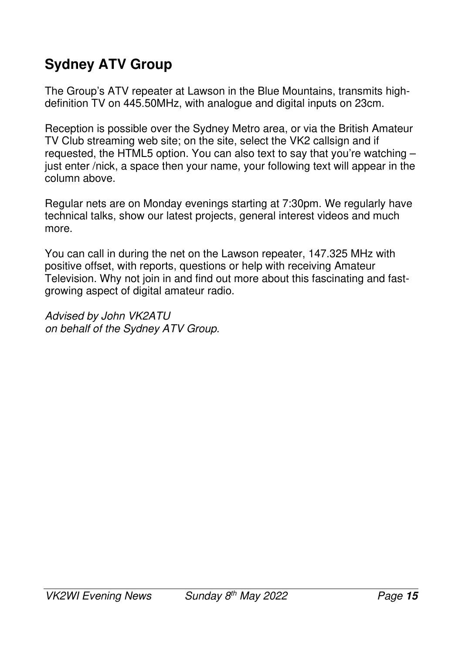# **Sydney ATV Group**

The Group's ATV repeater at Lawson in the Blue Mountains, transmits highdefinition TV on 445.50MHz, with analogue and digital inputs on 23cm.

Reception is possible over the Sydney Metro area, or via the British Amateur TV Club streaming web site; on the site, select the VK2 callsign and if requested, the HTML5 option. You can also text to say that you're watching – just enter /nick, a space then your name, your following text will appear in the column above.

Regular nets are on Monday evenings starting at 7:30pm. We regularly have technical talks, show our latest projects, general interest videos and much more.

You can call in during the net on the Lawson repeater, 147.325 MHz with positive offset, with reports, questions or help with receiving Amateur Television. Why not join in and find out more about this fascinating and fastgrowing aspect of digital amateur radio.

*Advised by John VK2ATU on behalf of the Sydney ATV Group.*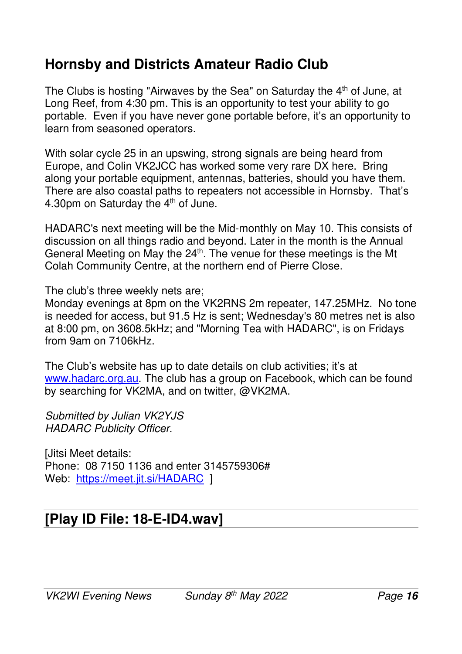#### **Hornsby and Districts Amateur Radio Club**

The Clubs is hosting "Airwaves by the Sea" on Saturday the 4<sup>th</sup> of June, at Long Reef, from 4:30 pm. This is an opportunity to test your ability to go portable. Even if you have never gone portable before, it's an opportunity to learn from seasoned operators.

With solar cycle 25 in an upswing, strong signals are being heard from Europe, and Colin VK2JCC has worked some very rare DX here. Bring along your portable equipment, antennas, batteries, should you have them. There are also coastal paths to repeaters not accessible in Hornsby. That's 4.30pm on Saturday the 4<sup>th</sup> of June.

HADARC's next meeting will be the Mid-monthly on May 10. This consists of discussion on all things radio and beyond. Later in the month is the Annual General Meeting on May the 24<sup>th</sup>. The venue for these meetings is the Mt Colah Community Centre, at the northern end of Pierre Close.

The club's three weekly nets are;

Monday evenings at 8pm on the VK2RNS 2m repeater, 147.25MHz. No tone is needed for access, but 91.5 Hz is sent; Wednesday's 80 metres net is also at 8:00 pm, on 3608.5kHz; and "Morning Tea with HADARC", is on Fridays from 9am on 7106kHz.

The Club's website has up to date details on club activities; it's at www.hadarc.org.au. The club has a group on Facebook, which can be found by searching for VK2MA, and on twitter, @VK2MA.

*Submitted by Julian VK2YJS HADARC Publicity Officer.* 

[Jitsi Meet details: Phone: 08 7150 1136 and enter 3145759306# Web: https://meet.jit.si/HADARC 1

#### **[Play ID File: 18-E-ID4.wav]**